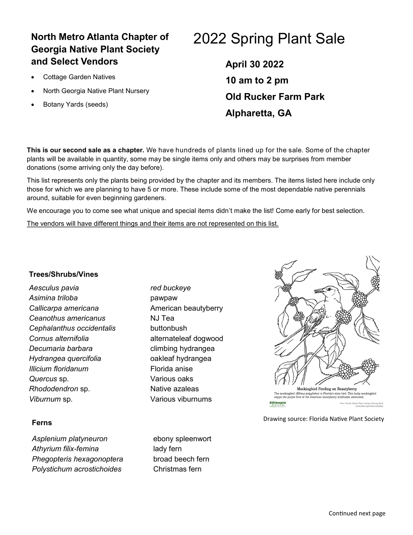## **North Metro Atlanta Chapter of Georgia Native Plant Society and Select Vendors**

- Cottage Garden Natives
- North Georgia Native Plant Nursery
- Botany Yards (seeds)

# 2022 Spring Plant Sale

**April 30 2022 10 am to 2 pm Old Rucker Farm Park Alpharetta, GA**

**This is our second sale as a chapter.** We have hundreds of plants lined up for the sale. Some of the chapter plants will be available in quantity, some may be single items only and others may be surprises from member donations (some arriving only the day before).

This list represents only the plants being provided by the chapter and its members. The items listed here include only those for which we are planning to have 5 or more. These include some of the most dependable native perennials around, suitable for even beginning gardeners.

We encourage you to come see what unique and special items didn't make the list! Come early for best selection.

The vendors will have different things and their items are not represented on this list.

#### **Trees/Shrubs/Vines**

*Aesculus pavia red buckeye Asimina triloba* pawpaw **Callicarpa americana American beautyberry** *Ceanothus americanus* NJ Tea **Cephalanthus occidentalis** buttonbush *Cornus alternifolia* alternateleaf dogwood **Decumaria barbara** climbing hydrangea *Hydrangea quercifolia* oakleaf hydrangea *Illicium floridanum* Florida anise *Quercus* sp. Various oaks **Rhododendron sp.** Native azaleas *Viburnum* sp. Various viburnums

### **Ferns**

Asplenium platyneuron ebony spleenwort *Athyrium filix-femina* lady fern *Phegopteris hexagonoptera* broad beech fern *Polystichum acrostichoides* Christmas fern



The mocking<br>bird  $(Mlimus\ polydot\ toxs)$  is Florida's state bird. This lucky mocking<br>bird enjoys the purple fruit of the American beauty<br>berry  $(Callicarpa\ american).$ cillespie

Drawing source: Florida Native Plant Society